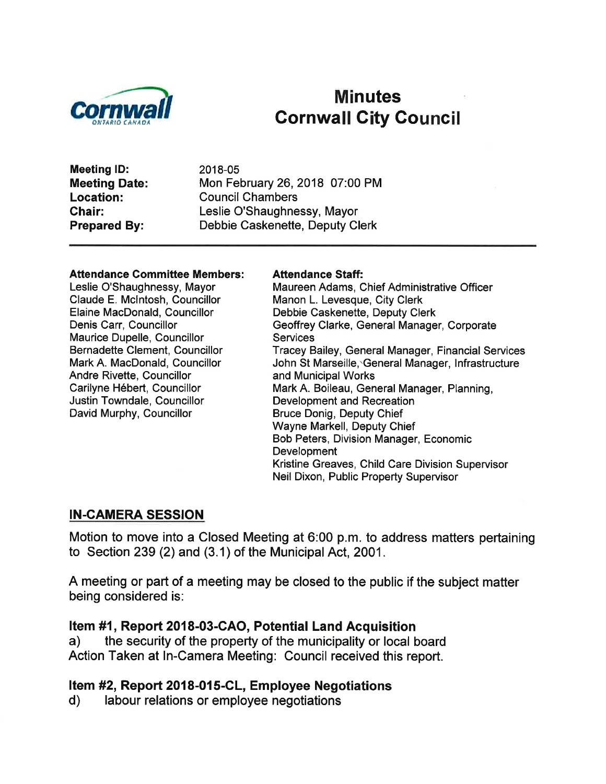

# Minutes<br>Cornwall City Council

Meeting lD: Meeting Date: Location: Ghair: Prepared By:

2018-05 Mon February 26,2018 07:00 PM Council Chambers Leslie O'Shaughnessy, Mayor Debbie Caskenette, Deputy Clerk

#### Attendance Committee Members:

Leslie O'Shaughnessy, Mayor Claude E. Mclntosh, Councillor Elaine MacDonald, Councillor Denis Carr, Councillor Maurice Dupelle, Councillor Bernadette Clement, Councillor Mark A. MacDonald, Councillor Andre Rivette, Councillor Carilyne Hébert, Councillor Justin Towndale, Councillor David Murphy, Councillor

#### Attendance Staff:

Maureen Adams, Chief Administrative Officer Manon L. Levesque, City Clerk Debbie Caskenette, Deputy Clerk Geoffrey Clarke, General Manager, Corporate **Services** Tracey Bailey, General Manager, Financial Services John St Marseille, General Manager, Infrastructure and Municipal Works Mark A. Boileau, General Manager, Planning, Development and Recreation Bruce Donig, Deputy Chief Wayne Markell, Deputy Chief Bob Peters, Division Manager, Economic **Development** Kristine Greaves, Child Care Division Supervisor Neil Dixon, Public Property Supervisor

#### IN.CAMERA SESSION

Motion to move into a Closed Meeting at 6:00 p.m. to address matters pertaining to Section 239 (2) and (3.1) of the Municipal Act, 2001 .

A meeting or part of a meeting may be closed to the public if the subject matter being considered is:

Item #1, Report 2018-03-CAO, Potential Land Acquisition<br>a) the security of the property of the municipality or local board Action Taken at ln-Camera Meeting: Council received this report.

## Item #2, Report 2018-015-CL, Employee Negotiations<br>d) labour relations or employee negotiations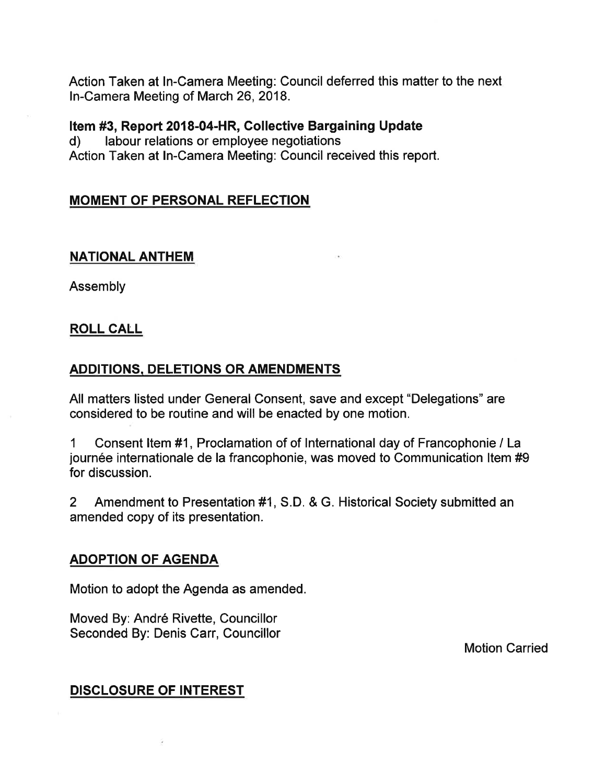Action Taken at In-Camera Meeting: Council deferred this matter to the next ln-Camera Meeting of March 26,2018.

**Item #3, Report 2018-04-HR, Collective Bargaining Update d)** labour relations or employee negotiations Action Taken at ln-Camera Meeting: Council received this report.

#### MOMENT OF PERSONAL REFLECTION

#### NATIONAL ANTHEM

Assembly

#### ROLL CALL

#### ADDITIONS, DELETIONS OR AMENDMENTS

All matters listed under General Consent, save and except "Delegations" are considered to be routine and will be enacted by one motion.

1 Consent ltem #1, Proclamation of of International day of Francophonie / La journée internationale de la francophonie, was moved to Communication ltem #9 for discussion.

2 Amendment to Presentation #1, S.D. & G. Historical Society submitted an amended copy of its presentation.

#### ADOPTION OF AGENDA

Motion to adopt the Agenda as amended.

Moved By: André Rivette, Councillor Seconded By: Denis Carr, Councillor

Motion Carried

#### DISCLOSURE OF INTEREST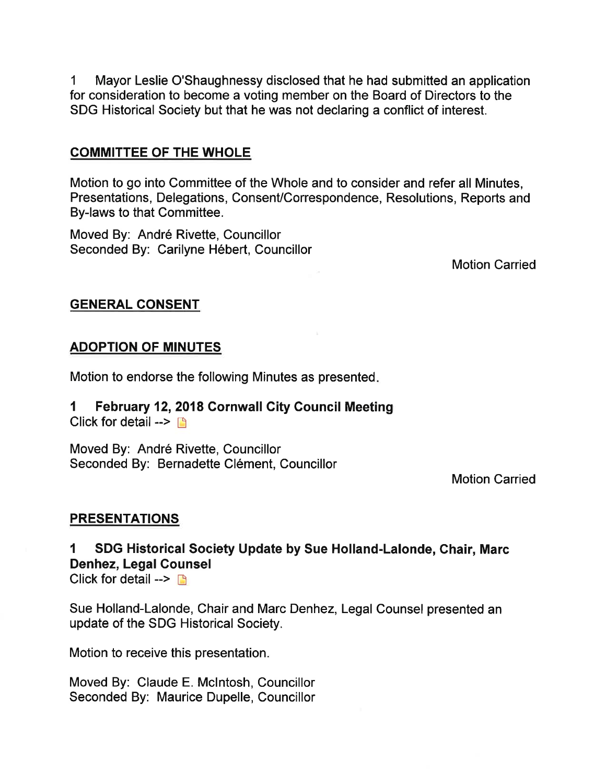1 Mayor Leslie O'Shaughnessy disclosed that he had submitted an application for consideration to become a voting member on the Board of Directors to the SDG Historical Society but that he was not declaring a conflict of interest.

#### COMMITTEE OF THE WHOLE

Motion to go into Committee of the Whole and to consider and refer all Minutes, Presentations, Delegations, Consent/Correspondence, Resolutions, Reports and By-laws to that Committee.

Moved By: André Rivette, Councillor Seconded By: Carilyne Hébert, Councillor

Motion Carried

#### GENERAL CONSENT

#### ADOPTION OF MINUTES

Motion to endorse the following Minutes as presented

#### I February 12,2018 Gornwall City Council Meeting Click for detail  $\rightarrow$  [5]

Moved By: André Rivette, Councillor Seconded By: Bernadette Clément, Councillor

Motion Carried

#### **PRESENTATIONS**

#### SDG Historical Society Update by Sue Holland-Lalonde, Chair, Marc Denhez, Legal Gounsel

Click for detail  $\rightarrow \rightarrow$ 

Sue Holland-Lalonde, Chair and Marc Denhez, Legal Counsel presented an update of the SDG Historical Society.

Motion to receive this presentation.

Moved By: Claude E. Mclntosh, Councillor Seconded By: Maurice Dupelle, Councillor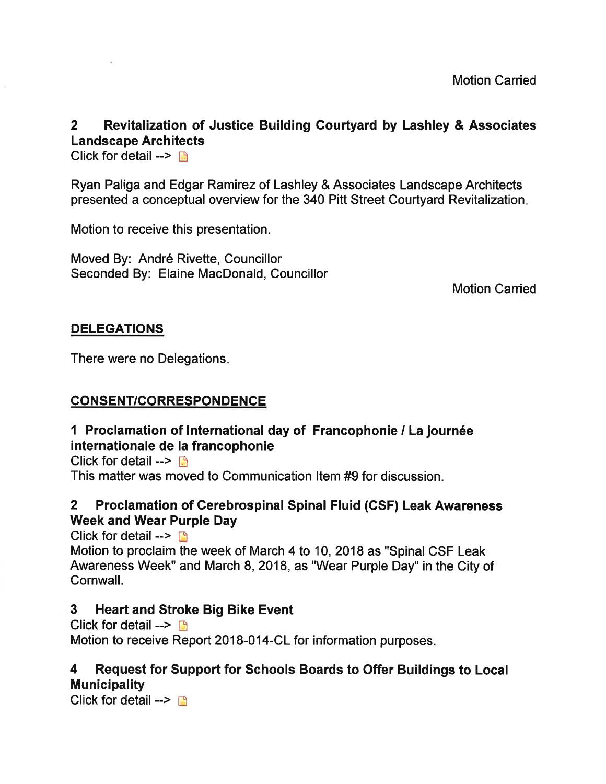#### 2 Revitalization of Justice Building Courtyard by Lashley & Associates Landscape Architects

Click for detail -->  $\blacksquare$ 

Ryan Paliga and Edgar Ramirez of Lashley & Associates Landscape Architects presented a conceptual overview for the 340 Pitt Street Courtyard Revitalization

Motion to receive this presentation.

Moved By: André Rivette, Councillor Seconded By: Elaine MacDonald, Councillor

Motion Carried

#### DELEGATIONS

There were no Delegations

#### CONSENT/CORRESPONDENCE

#### 1 Proclamation of International day of Francophonie / La journée internationale de la francophonie

Click for detail  $\rightarrow \mathbb{R}$ This matter was moved to Communication ltem #9 for discussion.

#### 2 Proclamation of Cerebrospinal Spinal Fluid (GSF) Leak Awareness Week and Wear Purple Day

Click for detail  $\rightarrow$  n Motion to proclaim the week of March 4 to 10,2018 as "Spinal CSF Leak Awareness Week" and March 8,2018, as "Wear Purple Day" in the City of Cornwall.

#### 3 Heart and Stroke Big Bike Event

Click for detail  $\rightarrow$   $\rightarrow$ Motion to receive Report 2018-014-CL for information purposes.

#### 4 Request for Support for Schools Boards to Offer Buildings to Local **Municipality**

Click for detail  $\rightarrow$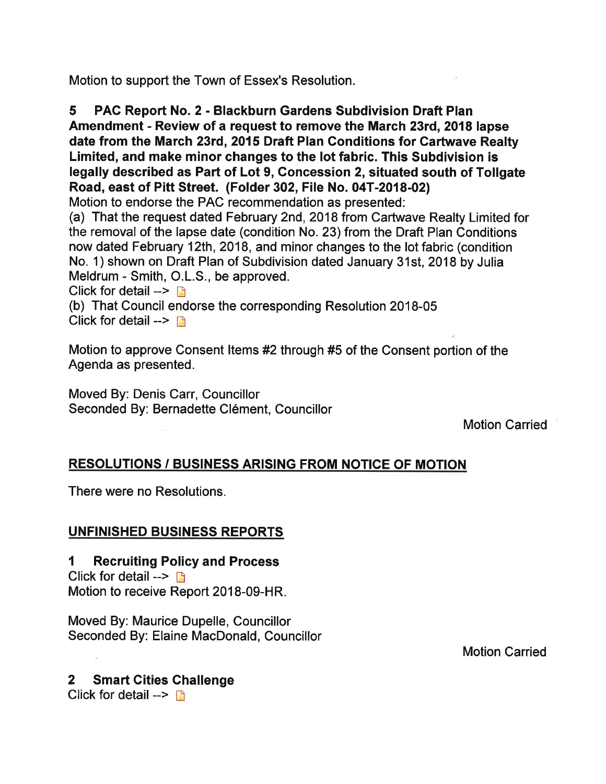Motion to support the Town of Essex's Resolution.

5 PAC Report No. 2 - Blackburn Gardens Subdivision Draft Plan Amendment - Review of a request to remove the March 23rd, 2018 lapse date from the March 23rd, 2015 Draft Plan Gonditions for Cartwave Realty Limited, and make minor changes to the lot fabric. This Subdivision is legally described as Part of Lot 9, Concession 2, situated south of Tollgate Road, east of Pitt Street. (Folder 302, File No. 04T-2018-02)

Motion to endorse the PAC recommendation as presented:

(a) That the request dated February 2nd,2018 from Cartwave Realty Limited for the removal of the lapse date (condition No. 23) from the Draft Plan Conditions now dated February 12th, 2018, and minor changes to the lot fabric (condition No. 1) shown on Draft Plan of Subdivision dated January 31st, 2018 by Julia Meldrum - Smith, O.L.S., be approved.

Click for detail  $\rightarrow$  D

(b) That Council endorse the corresponding Resolution 2018-05 Click for detail -->  $\Box$ 

Motion to approve Consent ltems #2 through #5 of the Consent portion of the Agenda as presented.

Moved By: Denis Carr, Councillor Seconded By: Bernadette Clément, Councillor

Motion Carried

#### RESOLUTIONS / BUSINESS ARISING FROM NOTICE OF MOTION

There were no Resolutions.

#### UNFINISHED BUSINESS REPORTS

1 Recruiting Policy and Process

Click for detail  $\rightarrow \Box$ Motion to receive Report 2018-09-HR

Moved By: Maurice Dupelle, Councillor Seconded By: Elaine MacDonald, Councillor

Motion Carried

#### 2 Smart Cities Challenge

Click for detail  $\rightarrow \Box$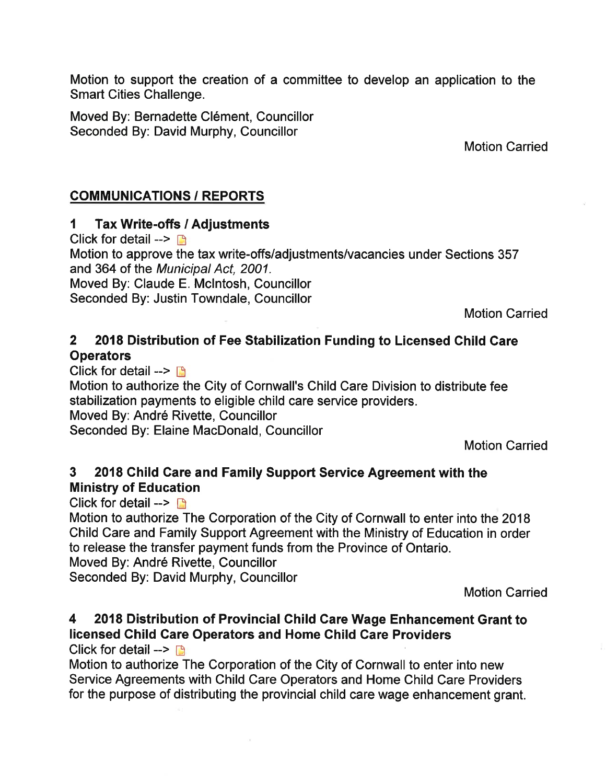Motion to support the creation of a committee to develop an application to the Smart Cities Challenge.

Moved By: Bernadette Clément, Councillor Seconded By: David Murphy, Councillor

Motion Carried

#### **COMMUNICATIONS / REPORTS**

#### I Tax Write-offs / Adjustments

Click for detail  $\rightarrow \mathbb{R}$ 

Motion to approve the tax write-offs/adjustments/vacancies under Sections 357 and 364 of the Municipal Act, 2001.

Moved By: Claude E. Mclntosh, Councillor

Seconded By: Justin Towndale, Councillor

Motion Carried

#### 2 2018 Distribution of Fee Stabilization Funding to Licensed Child Care **Operators**

Click for detail -->  $\Box$ Motion to authorize the City of Cornwall's Child Care Division to distribute fee stabilization payments to eligible child care service providers. Moved By: André Rivette, Councillor Seconded By: Elaine MacDonald, Councillor

Motion Carried

#### 3 2018 Child Care and Family Support Service Agreement with the Ministry of Education

Click for detail  $\rightarrow \rightarrow$ 

Motion to authorize The Corporation of the City of Cornwall to enter into the 2018 Child Care and Family Support Agreement with the Ministry of Education in order to release the transfer payment funds from the Province of Ontario.

Moved By: André Rivette, Councillor

Seconded By: David Murphy, Councillor

Motion Carried

### 4 2018 Distribution of Provincial Child Care Wage Enhancement Grant to licensed Child Gare Operators and Home Ghild Care Providers

Click for detail  $\rightarrow$  n

Motion to authorize The Corporation of the City of Cornwall to enter into new Service Agreements with Child Care Operators and Home Child Care Providers for the purpose of distributing the provincial child care wage enhancement grant.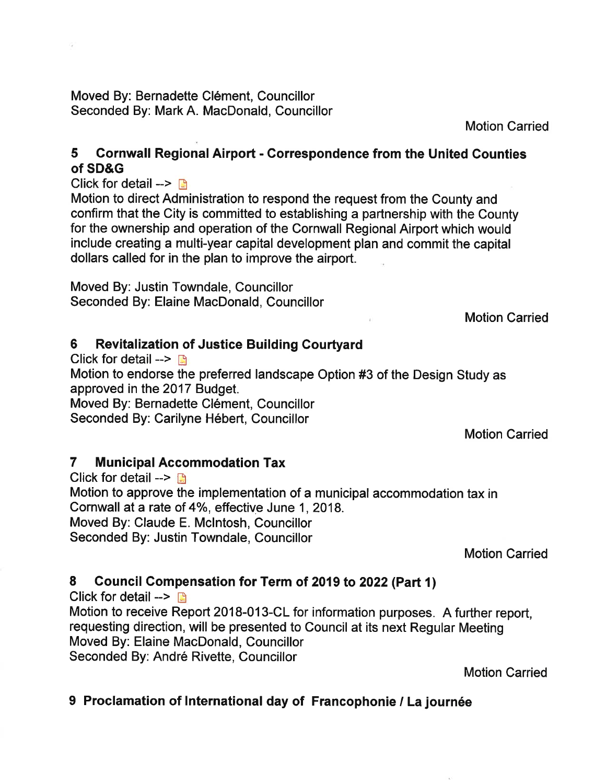Moved By: Bernadette Clément, Councillor Seconded By: Mark A. MacDonald, Councillor

Motion Carried

#### 5 Gornwall Regional Airport - Correspondence from the United Gounties of SD&G

Click for detail  $\rightarrow$ 

Motion to direct Administration to respond the request from the County and confirm that the City is committed to establishing a partnership with the County for the ownership and operation of the Cornwall Regional Airport which would include creating a multi-year capital development plan and commit the capital dollars called for in the plan to improve the airport.

Moved By: Justin Towndale, Councillor Seconded By: Elaine MacDonald, Councillor

Motion Carried

#### 6 Revitalization of Justice Building Courtyard

Click for detail  $\rightarrow$  B Motion to endorse the preferred landscape Option #3 of the Design Study as approved in the 2017 Budget. Moved By: Bernadette Clément, Councillor Seconded By: Carilyne Hébert, Councillor

Motion Carried

#### 7 Municipal Accommodation Tax

Click for detail  $\rightarrow \rightarrow$ Motion to approve the implementation of a municipal accommodation tax in Cornwall at a rate of 4%, effective June 1, 2018. Moved By: Glaude E. Mclntosh, Councillor Seconded By: Justin Towndale, Councillor

Motion Carried

#### 8 Council Compensation for Term of 2019 to 2022 (Part 1)

Click for detail  $\rightarrow \mathbb{R}$ Motion to receive Report 2018-013-CL for information purposes. A further report, requesting direction, will be presented to Council at its next Regular Meeting Moved By: Elaine MacDonald, Councillor Seconded By: André Rivette, Councillor

Motion Carried

#### 9 Proclamation of International day of Francophonie / La journée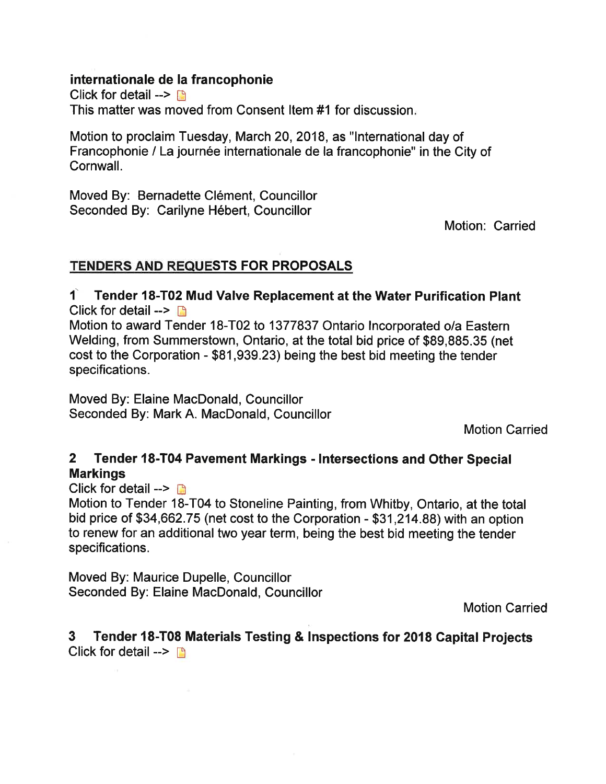#### internationale de la francophonie

Click for detail  $\rightarrow \mathbb{R}$ This matter was moved from Gonsent ltem #1 for discussion

Motion to proclaim Tuesday, March 20,2018, as "lnternational day of Francophonie / La journée internationale de la francophonie" in the City of Cornwall.

Moved By: Bernadette Clément, Councillor Seconded By: Carilyne Hébert, Councillor

Motion: Carried

#### TENDERS AND REQUESTS FOR PROPOSALS

1 Tender 18-T02 Mud Valve Replacement at the Water Purification Plant Click for detail  $\rightarrow$   $\blacksquare$ 

Motion to award Tender 18-T02 to 1377837 Ontario Incorporated o/a Eastern Welding, from Summerstown, Ontario, at the total bid price of \$89,885.35 (net cost to the Corporation - \$81,939.23) being the best bid meeting the tender specifications.

Moved By: Elaine MacDonald, Councillor Seconded By: Mark A. MacDonald, Councillor

Motion Carried

#### 2 Tender 18-T04 Pavement Markings - Intersections and Other Special Markings

Click for detail  $\rightarrow \mathbb{R}$ 

Motion to Tender 18-T04 to Stoneline Painting, from Whitby, Ontario, at the total bid price of \$34,662.75 (net cost to the Corporation - \$31,214,88) with an option to renew for an additional two year term, being the best bid meeting the tender specifications.

Moved By: Maurice Dupelle, Councillor Seconded By: Elaine MacDonald, Councillor

Motion Carried

3 Tender l8-T08 Materials Testing & lnspections to¡ 2018 Capital Projects Click for detail  $\rightarrow$  B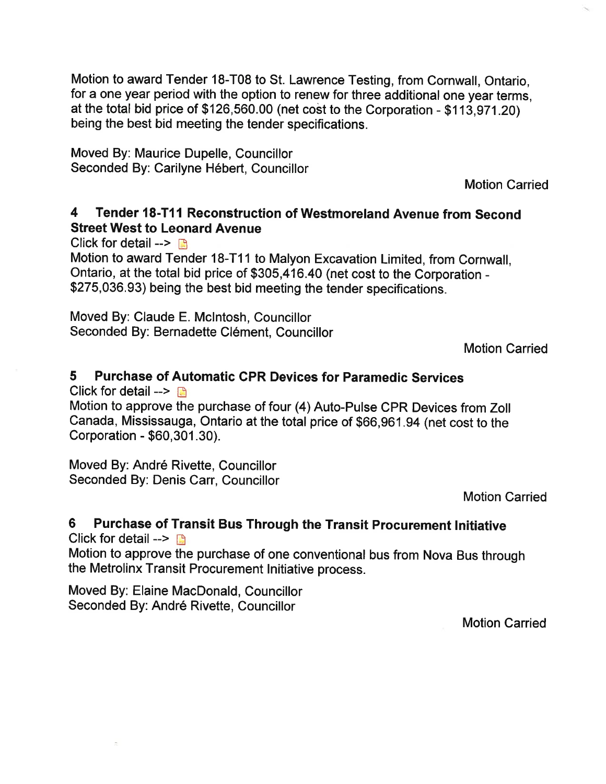Motion to award Tender 18-T08 to St. Lawrence Testing, from Cornwall, Ontario, for a one year period with the option to renew for three additional one year terms, at the total bid price of  $$126,560.00$  (net cost to the Corporation -  $$113.971.20$ ) being the best bid meeting the tender specifications.

Moved By: Maurice Dupelle, Councillor Seconded By: Carilyne Hébert, Councillor

Motion Carried

#### 4 Tender l8-T1l Reconstruction of Westmoreland Avenue from Second Street West to Leonard Avenue

Click for detail  $\rightarrow$  B

Motion to award Tender 18-T1 1 to Malyon Excavation Limited, from Cornwall, Ontario, at the total bid price of \$305,416.40 (net cost to the Corporation - \$275,036.93) being the best bid meeting the tender specifications.

Moved By: Claude E. Mclntosh, Councillor Seconded By: Bernadette Clément, Councillor

Motion Carried

#### 5 Purchase of Automatic cPR Devices for Paramedic services

Click for detail -->  $\blacksquare$ 

Motion to approve the purchase of four (4) Auto-Pulse CPR Devices from Zoll Canada, Mississauga, Ontario at the total price of \$60,901.g4 (net cost to the Corporation - \$60,301 .30).

Moved By: André Rivette, Councillor Seconded By: Denis Carr, Councillor

Motion Carried

#### 6 Purchase of Transit Bus Through the Transit Procurement Initiative

Click for detail  $\rightarrow \mathbb{R}$ 

Motion to approve the purchase of one conventional bus from Nova Bus through the Metrolinx Transit Procurement lnitiative process.

Moved By: Elaine MacDonald, Councillor Seconded By: André Rivette, Councillor

Motion Carried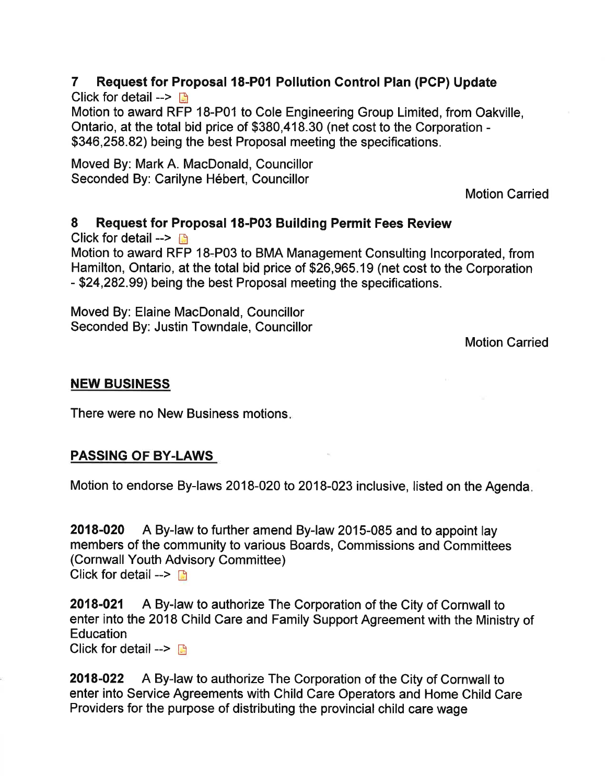#### 7 Request for Proposal l8-P01 Pollution Gontrol Plan (PCP) Update

Click for detail  $\rightarrow$ Motion to award RFP 18-P01 to Cole Engineering Group Limited, from Oakville, Ontario, at the total bid price of \$380,418.30 (net cost to the Corporation - \$346,258.82) being the best Proposal meeting the specifications.

Moved By: Mark A. MacDonald, Councillor Seconded By: Carilyne Hébert, Councillor

Motion Carried

#### 8 Request for Proposal 18-P03 Building Permit Fees Review

Click for detail  $\rightarrow \mathbb{R}$ 

Motion to award RFP 18.P03 to BMA Management Consulting lncorporated, from Hamilton, Ontario, at the total bid price of \$26,965.19 (net cost to the Corporation - \$24,282.99) being the best Proposal meeting the specifications.

Moved By: Elaine MacDonald, Councillor Seconded By: Justin Towndale, Councillor

Motion Carried

#### NEW BUSINESS

There were no New Business motions

#### PASSING OF BY-LAWS

Motion to endorse By-laws 2018-020 to 2018-023 inclusive, listed on the Agenda

2018-020 A By-law to further amend By-law 2015-085 and to appoint lay members of the community to various Boards, Commissions and Committees (Gornwall Youth Advisory Committee) Click for detail  $\rightarrow$  D

2018-021 A By-law to authorize The Corporation of the City of Cornwall to enter into the 2018 Child Care and Family Support Agreement with the Ministry of **Education** Click for detail -->  $\Box$ 

2018-022 A By-law to authorize The Corporation of the City of Cornwall to enter into Service Agreements with Child Care Operators and Home Child Care

Providers for the purpose of distributing the provincial child care wage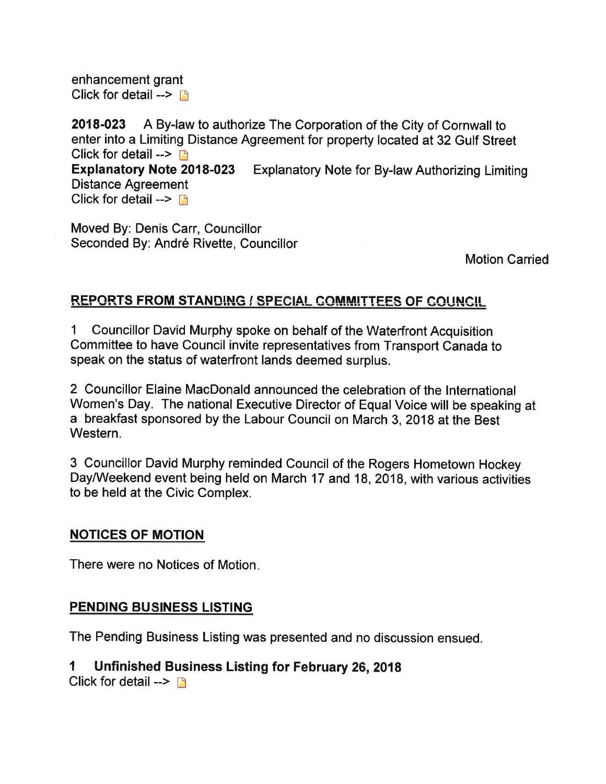enhancement grant Click for detail  $\rightarrow \Box$ 

2018-023 A By-law to authorize The Corporation of the City of Cornwall to enter into a Limiting Distance Agreement for property located at 32 Gulf Street Click for detail  $\rightarrow \rightarrow$ Expfanatory Note 2018-023 Explanatory Note for By-law Authorizing Limiting Distance Agreement Click for detail  $\rightarrow$  n

Moved By: Denis Carr, Councillor Seconded By: André Rivette, Councillor

Motion Carried

#### REPORTS FROM STANDING / SPECIAL COMMITTEES OF COUNCIL

1 Councillor David Murphy spoke on behalf of the Waterfront Acquisition Committee to have Council invite representatives from Transport Canada to speak on the status of waterfront lands deemed surplus.

2 Councillor Elaine MacDonald announced the celebration of the International Women's Day. The national Executive Director of Equal Voice will be speaking at a breakfast sponsored by the Labour Council on March 3,2018 at the Best Western.

3 Councillor David Murphy reminded Gouncil of the Rogers Hometown Hockey Day/Weekend event being held on March 17 and 18, 2018, with various activities to be held at the Civic Complex.

#### NOTICES OF MOTION

There were no Notices of Motion

#### PENDING BUSINESS LISTING

The Pending Business Listing was presented and no discussion ensued.

#### I Unfinished Business Listing for February 26,2018

Click for detail  $\rightarrow \rightarrow$